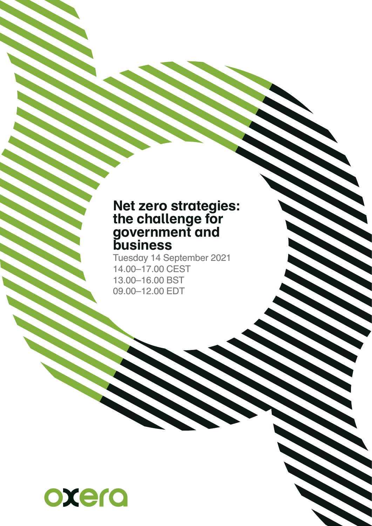## **Net zero strategies: the challenge for government and business**

Tuesday 14 September 2021 14.00–17.00 CEST 13.00–16.00 BST 09.00–12.00 EDT

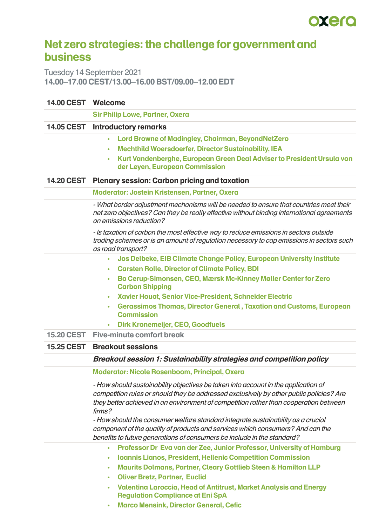

## **Net zero strategies: the challenge for government and business**

Tuesday 14 September 2021 **14.00–17.00 CEST/13.00–16.00 BST/09.00–12.00 EDT**

## **14.00 CEST Welcome**

|                   | <b>Sir Philip Lowe, Partner, Oxera</b>                                                                                                                                                                                                                                           |
|-------------------|----------------------------------------------------------------------------------------------------------------------------------------------------------------------------------------------------------------------------------------------------------------------------------|
|                   | 14.05 CEST Introductory remarks                                                                                                                                                                                                                                                  |
|                   | Lord Browne of Madingley, Chairman, BeyondNetZero<br>$\bullet$<br><b>Mechthild Woersdoerfer, Director Sustainability, IEA</b><br>$\bullet$                                                                                                                                       |
|                   | Kurt Vandenberghe, European Green Deal Adviser to President Ursula von<br>$\bullet$<br>der Leyen, European Commission                                                                                                                                                            |
| <b>14.20 CEST</b> | <b>Plenary session: Carbon pricing and taxation</b>                                                                                                                                                                                                                              |
|                   | <b>Moderator: Jostein Kristensen, Partner, Oxera</b>                                                                                                                                                                                                                             |
|                   | - What border adjustment mechanisms will be needed to ensure that countries meet their<br>net zero objectives? Can they be really effective without binding international agreements<br>on emissions reduction?                                                                  |
|                   | - Is taxation of carbon the most effective way to reduce emissions in sectors outside<br>trading schemes or is an amount of regulation necessary to cap emissions in sectors such<br>as road transport?                                                                          |
|                   | Jos Delbeke, EIB Climate Change Policy, European University Institute<br>$\bullet$                                                                                                                                                                                               |
|                   | <b>Carsten Rolle, Director of Climate Policy, BDI</b><br>$\bullet$                                                                                                                                                                                                               |
|                   | Bo Cerup-Simonsen, CEO, Mærsk Mc-Kinney Møller Center for Zero<br>$\bullet$<br><b>Carbon Shipping</b>                                                                                                                                                                            |
|                   | Xavier Houot, Senior Vice-President, Schneider Electric<br>٠                                                                                                                                                                                                                     |
|                   | <b>Gerassimos Thomas, Director General, Taxation and Customs, European</b><br>$\bullet$<br><b>Commission</b>                                                                                                                                                                     |
|                   | <b>Dirk Kronemeijer, CEO, Goodfuels</b><br>$\bullet$                                                                                                                                                                                                                             |
| <b>15.20 CEST</b> | <b>Five-minute comfort break</b>                                                                                                                                                                                                                                                 |
| <b>15.25 CEST</b> | <b>Breakout sessions</b>                                                                                                                                                                                                                                                         |
|                   | <b>Breakout session 1: Sustainability strategies and competition policy</b>                                                                                                                                                                                                      |
|                   | <b>Moderator: Nicole Rosenboom, Principal, Oxera</b>                                                                                                                                                                                                                             |
|                   | - How should sustainability objectives be taken into account in the application of<br>competition rules or should they be addressed exclusively by other public policies? Are<br>they better achieved in an environment of competition rather than cooperation between<br>firms? |
|                   | - How should the consumer welfare standard integrate sustainability as a crucial<br>component of the quality of products and services which consumers? And can the<br>benefits to future generations of consumers be include in the standard?                                    |
|                   | Professor Dr Eva van der Zee, Junior Professor, University of Hamburg<br>$\bullet$                                                                                                                                                                                               |
|                   | <b>Ioannis Lianos, President, Hellenic Competition Commission</b><br>٠                                                                                                                                                                                                           |
|                   | <b>Maurits Dolmans, Partner, Cleary Gottlieb Steen &amp; Hamilton LLP</b><br>$\bullet$                                                                                                                                                                                           |
|                   | <b>Oliver Bretz, Partner, Euclid</b><br>$\bullet$<br><b>Valentina Laroccia, Head of Antitrust, Market Analysis and Energy</b>                                                                                                                                                    |
|                   | $\bullet$<br><b>Regulation Compliance at Eni SpA</b>                                                                                                                                                                                                                             |
|                   | <b>Marco Mensink, Director General, Cefic</b><br>٠                                                                                                                                                                                                                               |
|                   |                                                                                                                                                                                                                                                                                  |